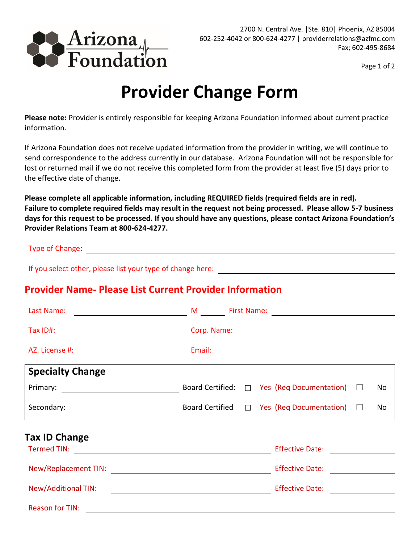

Page 1 of 2

## **Provider Change Form**

**Please note:** Provider is entirely responsible for keeping Arizona Foundation informed about current practice information.

If Arizona Foundation does not receive updated information from the provider in writing, we will continue to send correspondence to the address currently in our database. Arizona Foundation will not be responsible for lost or returned mail if we do not receive this completed form from the provider at least five (5) days prior to the effective date of change.

**Please complete all applicable information, including REQUIRED fields (required fields are in red). Failure to complete required fields may result in the request not being processed. Please allow 5-7 business days for this request to be processed. If you should have any questions, please contact Arizona Foundation's Provider Relations Team at 800-624-4277.** 

Type of Change:

If you select other, please list your type of change here:

## **Provider Name- Please List Current Provider Information**

| Last Name:              | M First Name: 2008 and 2012 and 2013 and 2014 and 2014 and 2014 and 2014 and 2014 and 2014 and 2014 and 2014 and 2014 and 2014 and 2014 and 2014 and 2014 and 2014 and 2014 and 2014 and 2014 and 2014 and 2014 and 2014 and 2<br><u> 1989 - Johann Barbara, martin a</u> |  |  |  |
|-------------------------|---------------------------------------------------------------------------------------------------------------------------------------------------------------------------------------------------------------------------------------------------------------------------|--|--|--|
| Tax ID#:                | Corp. Name: Name: Name: Name: Name: Name: Name: Name: Name: Name: Name: Name: Name: Name: Name: Name: Name: Name: Name: Name: Name: Name: Name: Name: Name: Name: Name: Name: Name: Name: Name: Name: Name: Name: Name: Name:                                             |  |  |  |
| AZ. License #:          | <b>Email:</b> Email:<br><u> 1989 - Johann Barn, fransk politik formuler (d. 1989)</u>                                                                                                                                                                                     |  |  |  |
| <b>Specialty Change</b> |                                                                                                                                                                                                                                                                           |  |  |  |
|                         | Board Certified: $\Box$ Yes (Req Documentation) $\Box$<br>No.                                                                                                                                                                                                             |  |  |  |
| Secondary:              | Board Certified $\Box$ Yes (Req Documentation) $\Box$<br>No                                                                                                                                                                                                               |  |  |  |
| <b>Tax ID Change</b>    |                                                                                                                                                                                                                                                                           |  |  |  |
|                         | Effective Date: <u>____________</u>                                                                                                                                                                                                                                       |  |  |  |
|                         | Effective Date: <b>Effective Date:</b>                                                                                                                                                                                                                                    |  |  |  |
| New/Additional TIN:     | Effective Date: <u>________</u><br><u> 1989 - Johann Barbara, martin amerikan basal dan berasal dan berasal dalam basal dan berasal dan berasal dan</u>                                                                                                                   |  |  |  |
| <b>Reason for TIN:</b>  |                                                                                                                                                                                                                                                                           |  |  |  |